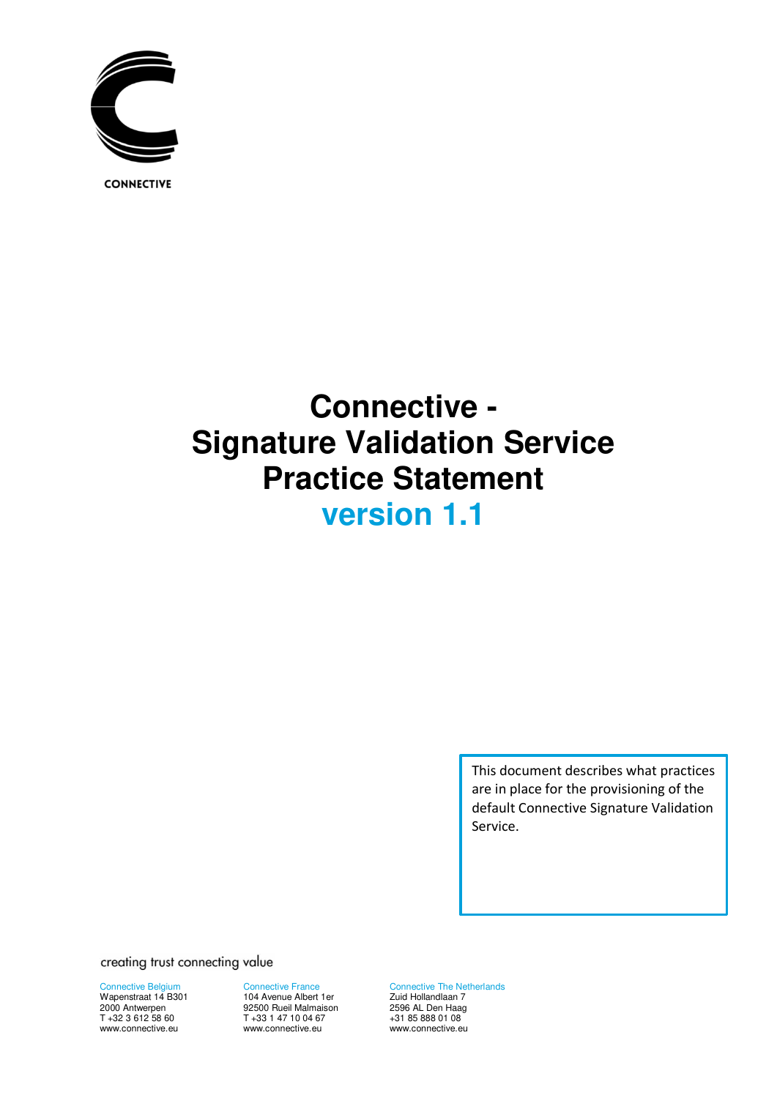

**CONNECTIVE** 

# **Connective - Signature Validation Service Practice Statement version 1.1**

This document describes what practices are in place for the provisioning of the default Connective Signature Validation Service.

creating trust connecting value

Connective Belgium Wapenstraat 14 B301 2000 Antwerpen T +32 3 612 58 60 www.connective.eu

Connective France 104 Avenue Albert 1er 92500 Rueil Malmaison T +33 1 47 10 04 67 www.connective.eu

Connective The Netherlands Zuid Hollandlaan 7 2596 AL Den Haag +31 85 888 01 08 www.connective.eu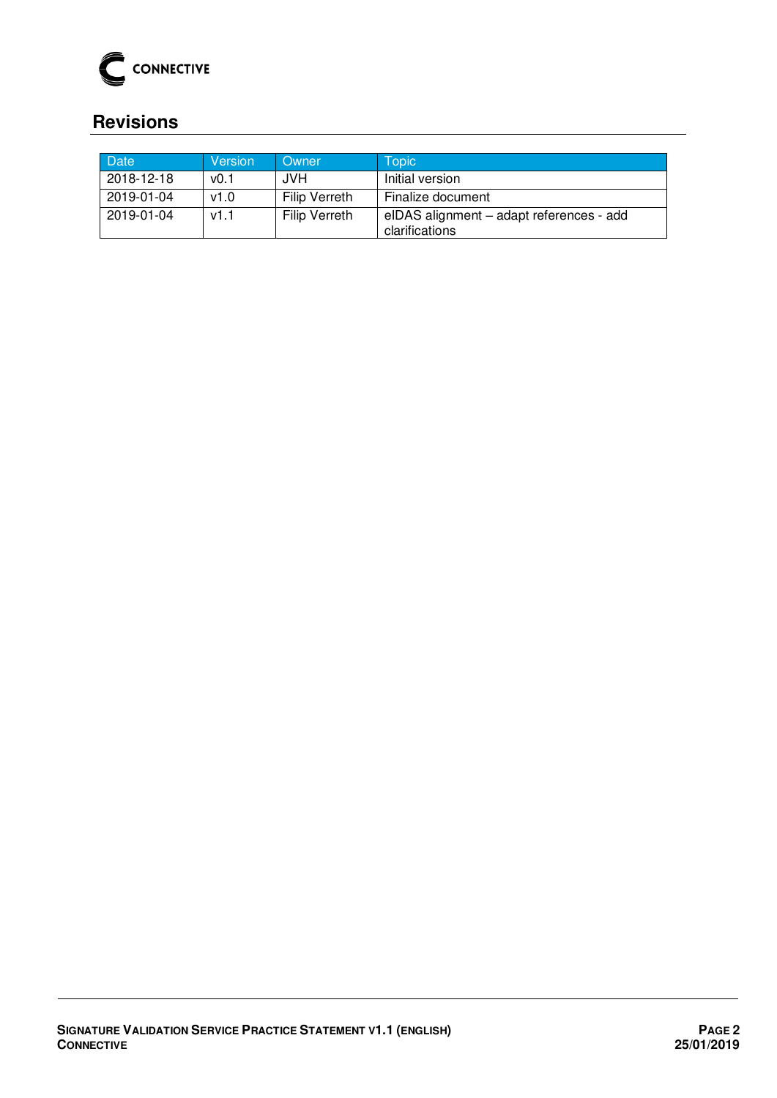

# <span id="page-1-0"></span>**Revisions**

| <b>Date</b> | Version | Owner                | Topic                                                      |
|-------------|---------|----------------------|------------------------------------------------------------|
| 2018-12-18  | v0.1    | JVH.                 | Initial version                                            |
| 2019-01-04  | v1.0    | <b>Filip Verreth</b> | Finalize document                                          |
| 2019-01-04  | v1.1    | <b>Filip Verreth</b> | elDAS alignment - adapt references - add<br>clarifications |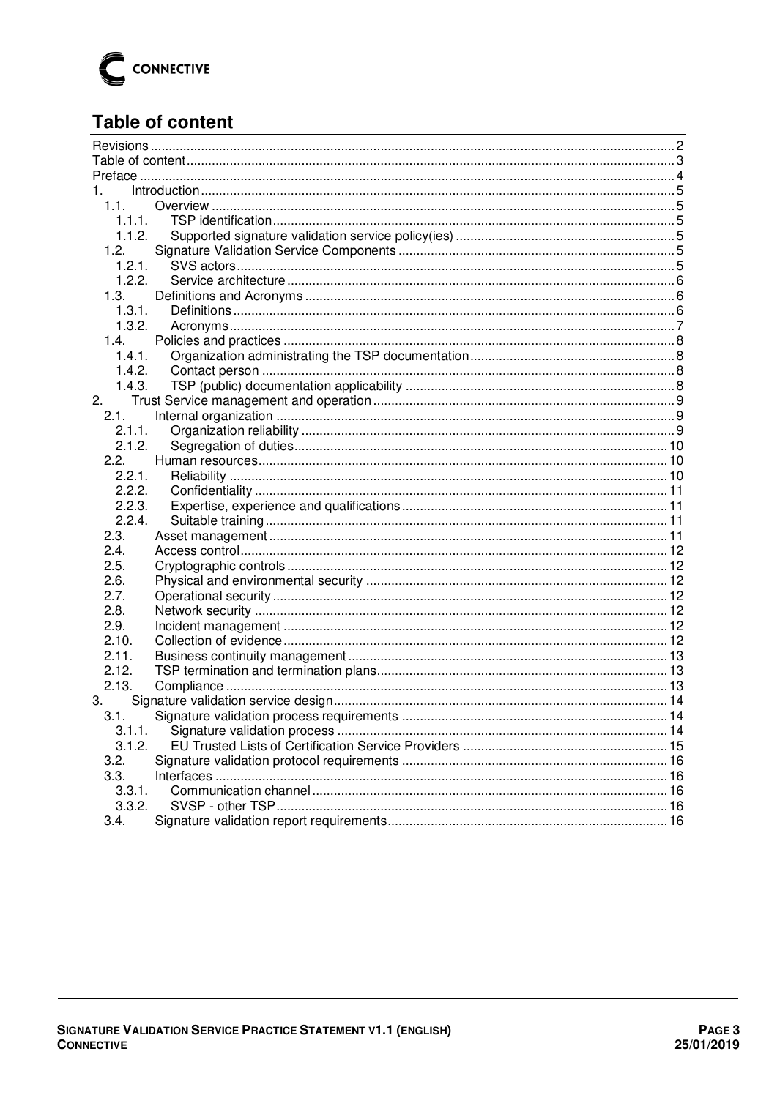

# <span id="page-2-0"></span>**Table of content**

| 1.<br>1.1.<br>1.1.1.<br>1.1.2.<br>1.2.<br>1.2.1.<br>1.2.2.<br>1.3.<br>1.3.1.<br>1.3.2.<br>1.4.<br>1.4.1.<br>1.4.2.<br>1.4.3.<br>2.<br>2.1.<br>2.1.1.<br>2.1.2.<br>2.2.<br>2.2.1.<br>2.2.2.<br>2.2.3.<br>2.2.4.<br>2.3.<br>2.4.<br>2.5.<br>2.6.<br>2.7.<br>2.8.<br>2.9.<br>2.10.<br>2.11.<br>2.12.<br>2.13.<br>3.<br>3.1.<br>3.1.1.<br>3.1.2.<br>3.2.<br>3.3.<br>3.3.1.<br>3.3.2. |      |  |  |  |  |  |
|----------------------------------------------------------------------------------------------------------------------------------------------------------------------------------------------------------------------------------------------------------------------------------------------------------------------------------------------------------------------------------|------|--|--|--|--|--|
|                                                                                                                                                                                                                                                                                                                                                                                  |      |  |  |  |  |  |
|                                                                                                                                                                                                                                                                                                                                                                                  |      |  |  |  |  |  |
|                                                                                                                                                                                                                                                                                                                                                                                  |      |  |  |  |  |  |
|                                                                                                                                                                                                                                                                                                                                                                                  |      |  |  |  |  |  |
|                                                                                                                                                                                                                                                                                                                                                                                  |      |  |  |  |  |  |
|                                                                                                                                                                                                                                                                                                                                                                                  |      |  |  |  |  |  |
|                                                                                                                                                                                                                                                                                                                                                                                  |      |  |  |  |  |  |
|                                                                                                                                                                                                                                                                                                                                                                                  |      |  |  |  |  |  |
|                                                                                                                                                                                                                                                                                                                                                                                  |      |  |  |  |  |  |
|                                                                                                                                                                                                                                                                                                                                                                                  |      |  |  |  |  |  |
|                                                                                                                                                                                                                                                                                                                                                                                  |      |  |  |  |  |  |
|                                                                                                                                                                                                                                                                                                                                                                                  |      |  |  |  |  |  |
|                                                                                                                                                                                                                                                                                                                                                                                  |      |  |  |  |  |  |
|                                                                                                                                                                                                                                                                                                                                                                                  |      |  |  |  |  |  |
|                                                                                                                                                                                                                                                                                                                                                                                  |      |  |  |  |  |  |
|                                                                                                                                                                                                                                                                                                                                                                                  |      |  |  |  |  |  |
|                                                                                                                                                                                                                                                                                                                                                                                  |      |  |  |  |  |  |
|                                                                                                                                                                                                                                                                                                                                                                                  |      |  |  |  |  |  |
|                                                                                                                                                                                                                                                                                                                                                                                  |      |  |  |  |  |  |
|                                                                                                                                                                                                                                                                                                                                                                                  |      |  |  |  |  |  |
|                                                                                                                                                                                                                                                                                                                                                                                  |      |  |  |  |  |  |
|                                                                                                                                                                                                                                                                                                                                                                                  |      |  |  |  |  |  |
|                                                                                                                                                                                                                                                                                                                                                                                  |      |  |  |  |  |  |
|                                                                                                                                                                                                                                                                                                                                                                                  |      |  |  |  |  |  |
|                                                                                                                                                                                                                                                                                                                                                                                  |      |  |  |  |  |  |
|                                                                                                                                                                                                                                                                                                                                                                                  |      |  |  |  |  |  |
|                                                                                                                                                                                                                                                                                                                                                                                  |      |  |  |  |  |  |
|                                                                                                                                                                                                                                                                                                                                                                                  |      |  |  |  |  |  |
|                                                                                                                                                                                                                                                                                                                                                                                  |      |  |  |  |  |  |
|                                                                                                                                                                                                                                                                                                                                                                                  |      |  |  |  |  |  |
|                                                                                                                                                                                                                                                                                                                                                                                  |      |  |  |  |  |  |
|                                                                                                                                                                                                                                                                                                                                                                                  |      |  |  |  |  |  |
|                                                                                                                                                                                                                                                                                                                                                                                  |      |  |  |  |  |  |
|                                                                                                                                                                                                                                                                                                                                                                                  |      |  |  |  |  |  |
|                                                                                                                                                                                                                                                                                                                                                                                  |      |  |  |  |  |  |
|                                                                                                                                                                                                                                                                                                                                                                                  |      |  |  |  |  |  |
|                                                                                                                                                                                                                                                                                                                                                                                  |      |  |  |  |  |  |
|                                                                                                                                                                                                                                                                                                                                                                                  |      |  |  |  |  |  |
|                                                                                                                                                                                                                                                                                                                                                                                  |      |  |  |  |  |  |
|                                                                                                                                                                                                                                                                                                                                                                                  |      |  |  |  |  |  |
|                                                                                                                                                                                                                                                                                                                                                                                  |      |  |  |  |  |  |
|                                                                                                                                                                                                                                                                                                                                                                                  |      |  |  |  |  |  |
|                                                                                                                                                                                                                                                                                                                                                                                  |      |  |  |  |  |  |
|                                                                                                                                                                                                                                                                                                                                                                                  |      |  |  |  |  |  |
|                                                                                                                                                                                                                                                                                                                                                                                  | 3.4. |  |  |  |  |  |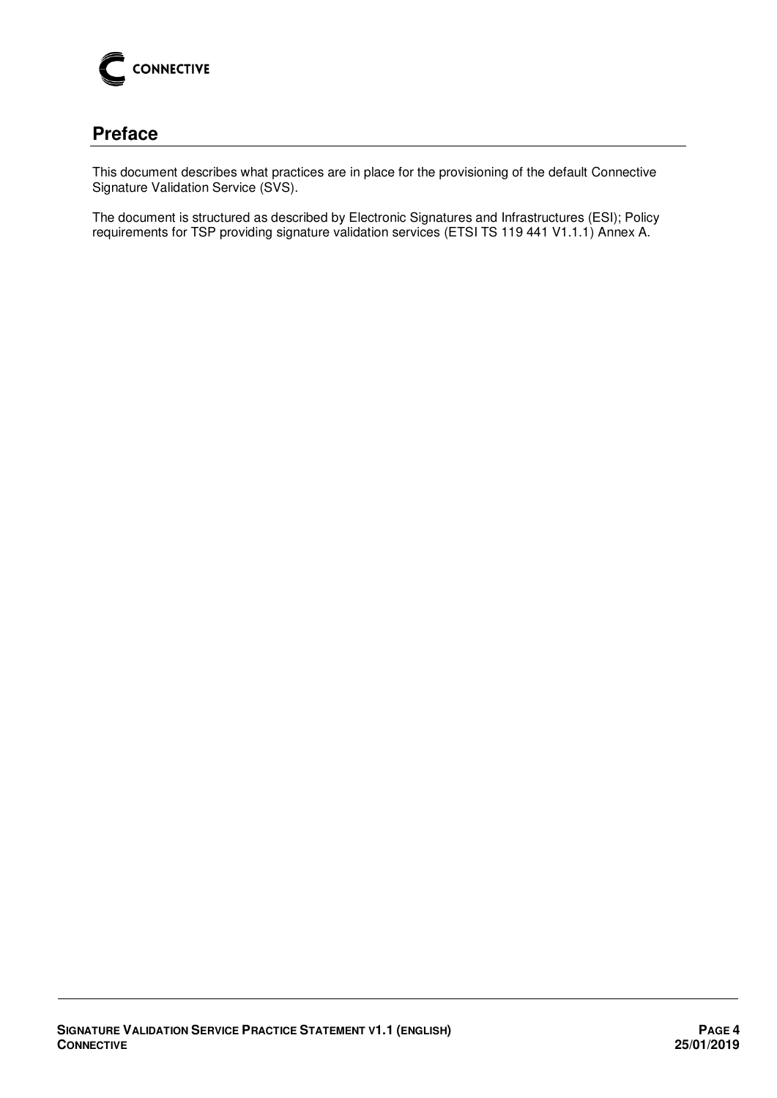

# <span id="page-3-0"></span>**Preface**

This document describes what practices are in place for the provisioning of the default Connective Signature Validation Service (SVS).

The document is structured as described by Electronic Signatures and Infrastructures (ESI); Policy requirements for TSP providing signature validation services (ETSI TS 119 441 V1.1.1) Annex A.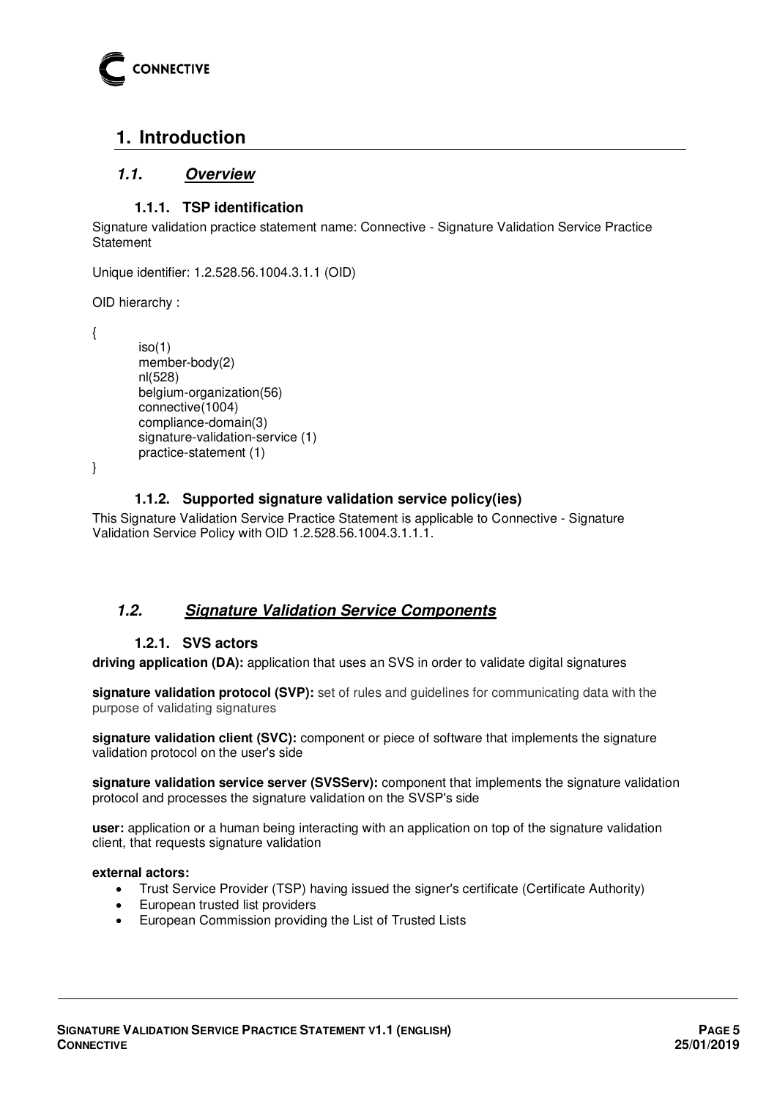

# <span id="page-4-0"></span>**1. Introduction**

# <span id="page-4-1"></span>**1.1. Overview**

## **1.1.1. TSP identification**

<span id="page-4-2"></span>Signature validation practice statement name: Connective - Signature Validation Service Practice **Statement** 

```
Unique identifier: 1.2.528.56.1004.3.1.1 (OID)
```
OID hierarchy :

{

```
iso(1) member-body(2) 
nl(528) 
belgium-organization(56) 
connective(1004) 
compliance-domain(3) 
signature-validation-service (1) 
practice-statement (1)
```
<span id="page-4-3"></span>}

#### **1.1.2. Supported signature validation service policy(ies)**

This Signature Validation Service Practice Statement is applicable to Connective - Signature Validation Service Policy with OID 1.2.528.56.1004.3.1.1.1.

# <span id="page-4-4"></span>**1.2. Signature Validation Service Components**

#### **1.2.1. SVS actors**

<span id="page-4-5"></span>**driving application (DA):** application that uses an SVS in order to validate digital signatures

**signature validation protocol (SVP):** set of rules and guidelines for communicating data with the purpose of validating signatures

**signature validation client (SVC):** component or piece of software that implements the signature validation protocol on the user's side

**signature validation service server (SVSServ):** component that implements the signature validation protocol and processes the signature validation on the SVSP's side

**user:** application or a human being interacting with an application on top of the signature validation client, that requests signature validation

#### **external actors:**

- Trust Service Provider (TSP) having issued the signer's certificate (Certificate Authority)
- European trusted list providers
- European Commission providing the List of Trusted Lists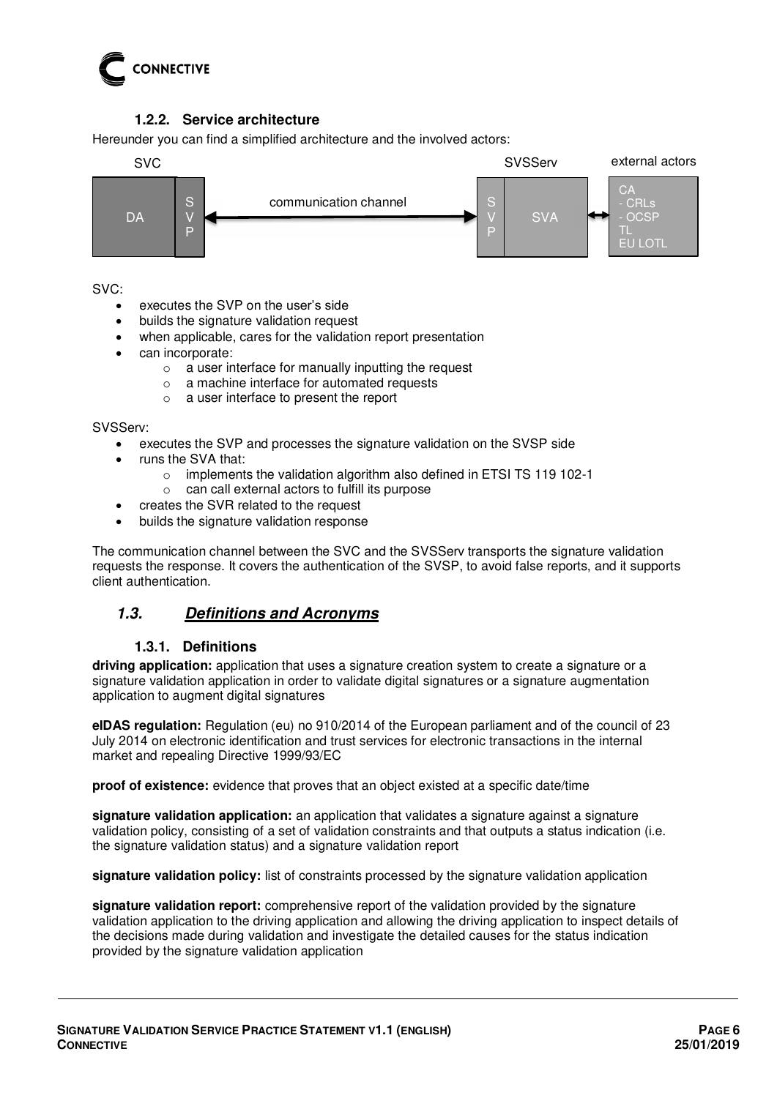

# **1.2.2. Service architecture**

<span id="page-5-0"></span>Hereunder you can find a simplified architecture and the involved actors:



SVC:

- executes the SVP on the user's side
- builds the signature validation request
- when applicable, cares for the validation report presentation
- can incorporate:
	- o a user interface for manually inputting the request
	- o a machine interface for automated requests
	- o a user interface to present the report

SVSServ:

- executes the SVP and processes the signature validation on the SVSP side
- runs the SVA that:
	- o implements the validation algorithm also defined in ETSI TS 119 102-1
	- o can call external actors to fulfill its purpose
- creates the SVR related to the request
- builds the signature validation response

The communication channel between the SVC and the SVSServ transports the signature validation requests the response. It covers the authentication of the SVSP, to avoid false reports, and it supports client authentication.

# <span id="page-5-1"></span>**1.3. Definitions and Acronyms**

#### **1.3.1. Definitions**

<span id="page-5-2"></span>**driving application:** application that uses a signature creation system to create a signature or a signature validation application in order to validate digital signatures or a signature augmentation application to augment digital signatures

**eIDAS regulation:** Regulation (eu) no 910/2014 of the European parliament and of the council of 23 July 2014 on electronic identification and trust services for electronic transactions in the internal market and repealing Directive 1999/93/EC

**proof of existence:** evidence that proves that an object existed at a specific date/time

**signature validation application:** an application that validates a signature against a signature validation policy, consisting of a set of validation constraints and that outputs a status indication (i.e. the signature validation status) and a signature validation report

**signature validation policy:** list of constraints processed by the signature validation application

**signature validation report:** comprehensive report of the validation provided by the signature validation application to the driving application and allowing the driving application to inspect details of the decisions made during validation and investigate the detailed causes for the status indication provided by the signature validation application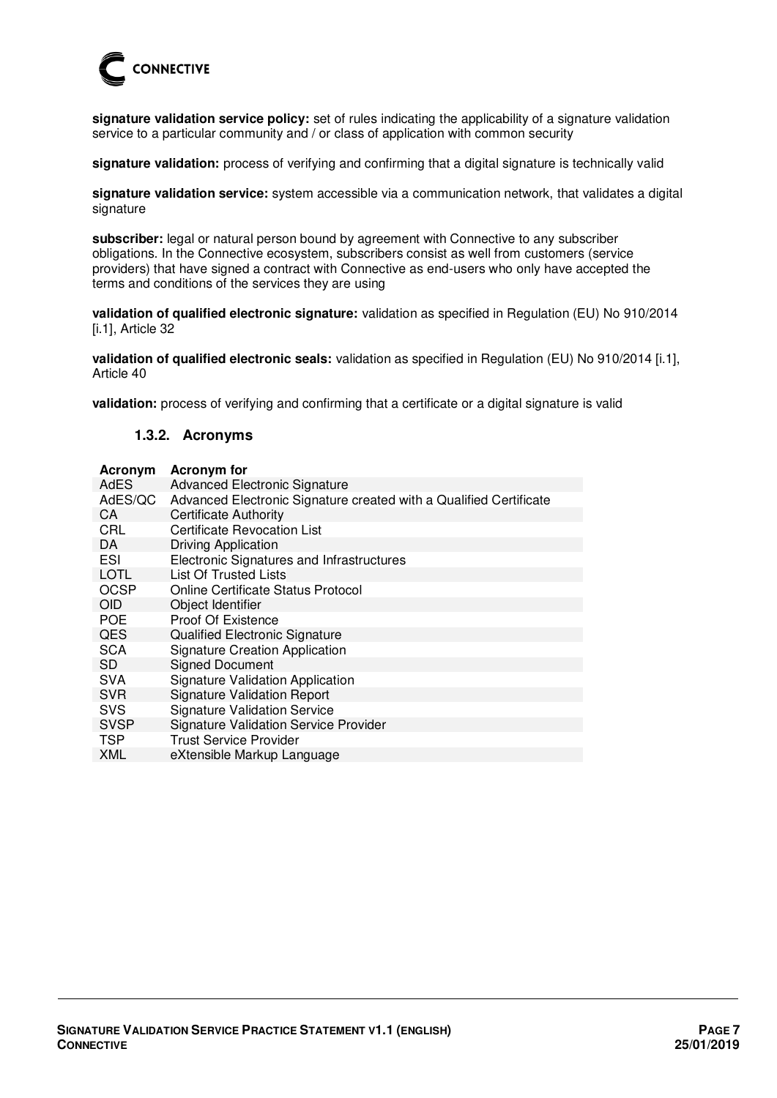

**signature validation service policy:** set of rules indicating the applicability of a signature validation service to a particular community and / or class of application with common security

**signature validation:** process of verifying and confirming that a digital signature is technically valid

**signature validation service:** system accessible via a communication network, that validates a digital signature

**subscriber:** legal or natural person bound by agreement with Connective to any subscriber obligations. In the Connective ecosystem, subscribers consist as well from customers (service providers) that have signed a contract with Connective as end-users who only have accepted the terms and conditions of the services they are using

**validation of qualified electronic signature:** validation as specified in Regulation (EU) No 910/2014 [i.1], Article 32

**validation of qualified electronic seals:** validation as specified in Regulation (EU) No 910/2014 [i.1], Article 40

<span id="page-6-0"></span>**validation:** process of verifying and confirming that a certificate or a digital signature is valid

#### **1.3.2. Acronyms**

| Acronym     | <b>Acronym</b> for                                                 |
|-------------|--------------------------------------------------------------------|
| AdES        | <b>Advanced Electronic Signature</b>                               |
| AdES/QC     | Advanced Electronic Signature created with a Qualified Certificate |
| CA          | <b>Certificate Authority</b>                                       |
| CRL         | <b>Certificate Revocation List</b>                                 |
| DA          | Driving Application                                                |
| ESI         | Electronic Signatures and Infrastructures                          |
| <b>LOTL</b> | List Of Trusted Lists                                              |
| <b>OCSP</b> | Online Certificate Status Protocol                                 |
| <b>OID</b>  | Object Identifier                                                  |
| <b>POE</b>  | <b>Proof Of Existence</b>                                          |
| <b>QES</b>  | Qualified Electronic Signature                                     |
| <b>SCA</b>  | <b>Signature Creation Application</b>                              |
| <b>SD</b>   | <b>Signed Document</b>                                             |
| <b>SVA</b>  | <b>Signature Validation Application</b>                            |
| <b>SVR</b>  | <b>Signature Validation Report</b>                                 |
| <b>SVS</b>  | <b>Signature Validation Service</b>                                |
| <b>SVSP</b> | <b>Signature Validation Service Provider</b>                       |
| <b>TSP</b>  | <b>Trust Service Provider</b>                                      |
| XML         | eXtensible Markup Language                                         |
|             |                                                                    |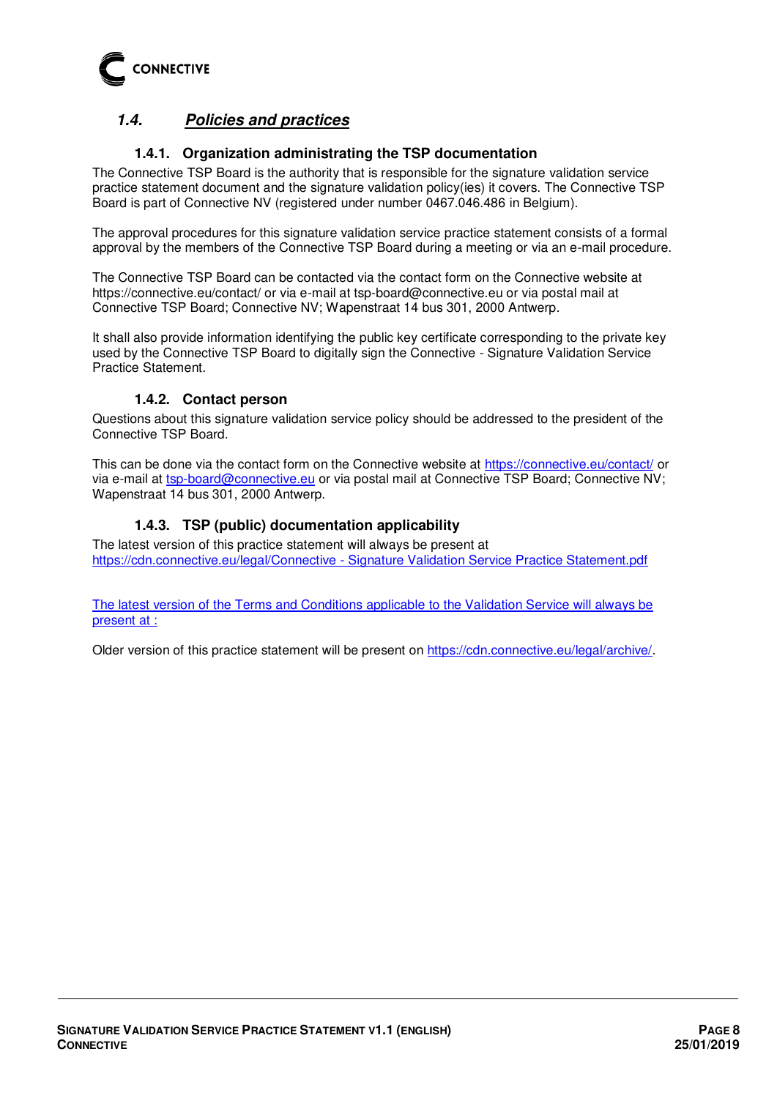

# <span id="page-7-0"></span>**1.4. Policies and practices**

# **1.4.1. Organization administrating the TSP documentation**

<span id="page-7-1"></span>The Connective TSP Board is the authority that is responsible for the signature validation service practice statement document and the signature validation policy(ies) it covers. The Connective TSP Board is part of Connective NV (registered under number 0467.046.486 in Belgium).

The approval procedures for this signature validation service practice statement consists of a formal approval by the members of the Connective TSP Board during a meeting or via an e-mail procedure.

The Connective TSP Board can be contacted via the contact form on the Connective website at https://connective.eu/contact/ or via e-mail at tsp-board@connective.eu or via postal mail at Connective TSP Board; Connective NV; Wapenstraat 14 bus 301, 2000 Antwerp.

It shall also provide information identifying the public key certificate corresponding to the private key used by the Connective TSP Board to digitally sign the Connective - Signature Validation Service Practice Statement.

#### **1.4.2. Contact person**

<span id="page-7-2"></span>Questions about this signature validation service policy should be addressed to the president of the Connective TSP Board.

This can be done via the contact form on the Connective website at<https://connective.eu/contact/>or via e-mail at [tsp-board@connective.eu](mailto:tsp-board@connective.eu) or via postal mail at Connective TSP Board; Connective NV; Wapenstraat 14 bus 301, 2000 Antwerp.

#### **1.4.3. TSP (public) documentation applicability**

<span id="page-7-3"></span>The latest version of this practice statement will always be present at [https://cdn.connective.eu/legal/Connective - Signature Validation Service Practice Statement.pdf](https://cdn.connective.eu/legal/Connective%20-%20Signature%20Validation%20Service%20Practice%20Statement.pdf) 

The latest version of the Terms and Conditions applicable to the Validation Service will always be present at :

Older version of this practice statement will be present on [https://cdn.connective.eu/legal/archive/.](https://cdn.connective.eu/legal/archive/)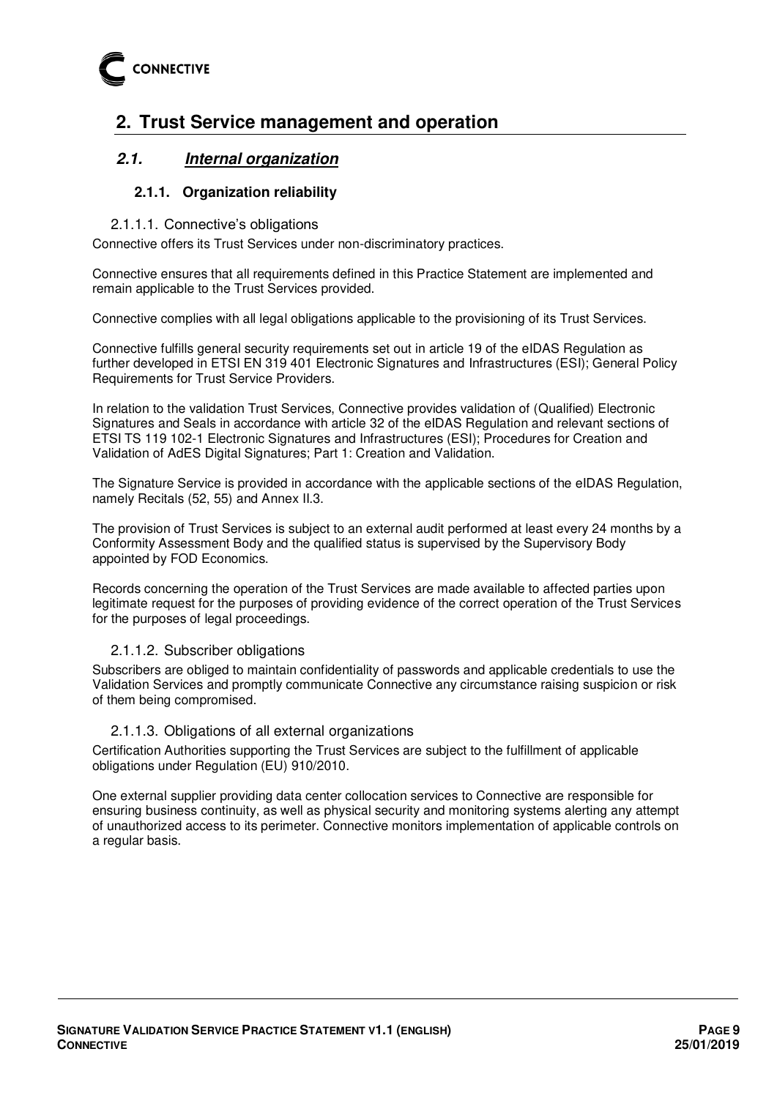

# <span id="page-8-0"></span>**2. Trust Service management and operation**

# <span id="page-8-2"></span><span id="page-8-1"></span>**2.1. Internal organization**

#### **2.1.1. Organization reliability**

#### 2.1.1.1. Connective's obligations

Connective offers its Trust Services under non-discriminatory practices.

Connective ensures that all requirements defined in this Practice Statement are implemented and remain applicable to the Trust Services provided.

Connective complies with all legal obligations applicable to the provisioning of its Trust Services.

Connective fulfills general security requirements set out in article 19 of the eIDAS Regulation as further developed in ETSI EN 319 401 Electronic Signatures and Infrastructures (ESI); General Policy Requirements for Trust Service Providers.

In relation to the validation Trust Services, Connective provides validation of (Qualified) Electronic Signatures and Seals in accordance with article 32 of the eIDAS Regulation and relevant sections of ETSI TS 119 102-1 Electronic Signatures and Infrastructures (ESI); Procedures for Creation and Validation of AdES Digital Signatures; Part 1: Creation and Validation.

The Signature Service is provided in accordance with the applicable sections of the eIDAS Regulation, namely Recitals (52, 55) and Annex II.3.

The provision of Trust Services is subject to an external audit performed at least every 24 months by a Conformity Assessment Body and the qualified status is supervised by the Supervisory Body appointed by FOD Economics.

Records concerning the operation of the Trust Services are made available to affected parties upon legitimate request for the purposes of providing evidence of the correct operation of the Trust Services for the purposes of legal proceedings.

#### 2.1.1.2. Subscriber obligations

Subscribers are obliged to maintain confidentiality of passwords and applicable credentials to use the Validation Services and promptly communicate Connective any circumstance raising suspicion or risk of them being compromised.

#### 2.1.1.3. Obligations of all external organizations

Certification Authorities supporting the Trust Services are subject to the fulfillment of applicable obligations under Regulation (EU) 910/2010.

One external supplier providing data center collocation services to Connective are responsible for ensuring business continuity, as well as physical security and monitoring systems alerting any attempt of unauthorized access to its perimeter. Connective monitors implementation of applicable controls on a regular basis.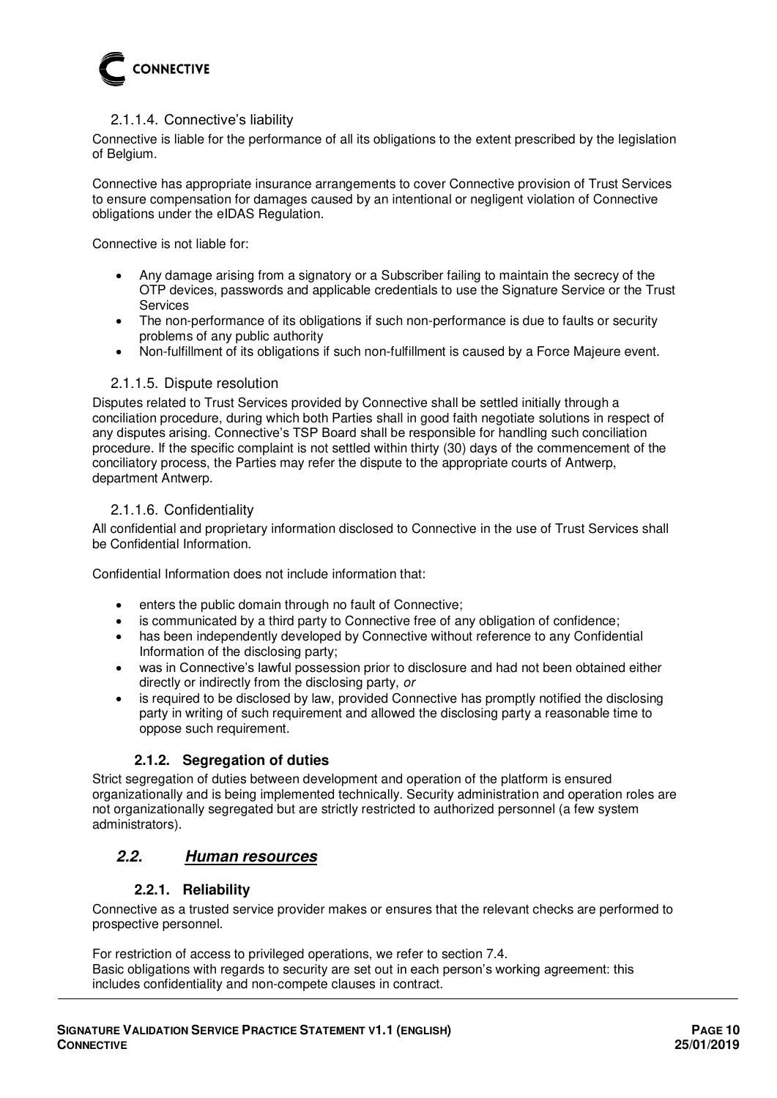

#### 2.1.1.4. Connective's liability

Connective is liable for the performance of all its obligations to the extent prescribed by the legislation of Belgium.

Connective has appropriate insurance arrangements to cover Connective provision of Trust Services to ensure compensation for damages caused by an intentional or negligent violation of Connective obligations under the eIDAS Regulation.

Connective is not liable for:

- Any damage arising from a signatory or a Subscriber failing to maintain the secrecy of the OTP devices, passwords and applicable credentials to use the Signature Service or the Trust Services
- The non-performance of its obligations if such non-performance is due to faults or security problems of any public authority
- Non-fulfillment of its obligations if such non-fulfillment is caused by a Force Majeure event.

#### 2.1.1.5. Dispute resolution

Disputes related to Trust Services provided by Connective shall be settled initially through a conciliation procedure, during which both Parties shall in good faith negotiate solutions in respect of any disputes arising. Connective's TSP Board shall be responsible for handling such conciliation procedure. If the specific complaint is not settled within thirty (30) days of the commencement of the conciliatory process, the Parties may refer the dispute to the appropriate courts of Antwerp, department Antwerp.

#### 2.1.1.6. Confidentiality

All confidential and proprietary information disclosed to Connective in the use of Trust Services shall be Confidential Information.

Confidential Information does not include information that:

- enters the public domain through no fault of Connective;
- is communicated by a third party to Connective free of any obligation of confidence;
- has been independently developed by Connective without reference to any Confidential Information of the disclosing party;
- was in Connective's lawful possession prior to disclosure and had not been obtained either directly or indirectly from the disclosing party, or
- is required to be disclosed by law, provided Connective has promptly notified the disclosing party in writing of such requirement and allowed the disclosing party a reasonable time to oppose such requirement.

#### **2.1.2. Segregation of duties**

<span id="page-9-0"></span>Strict segregation of duties between development and operation of the platform is ensured organizationally and is being implemented technically. Security administration and operation roles are not organizationally segregated but are strictly restricted to authorized personnel (a few system administrators).

# <span id="page-9-1"></span>**2.2. Human resources**

#### **2.2.1. Reliability**

<span id="page-9-2"></span>Connective as a trusted service provider makes or ensures that the relevant checks are performed to prospective personnel.

For restriction of access to privileged operations, we refer to section 7.4. Basic obligations with regards to security are set out in each person's working agreement: this includes confidentiality and non-compete clauses in contract.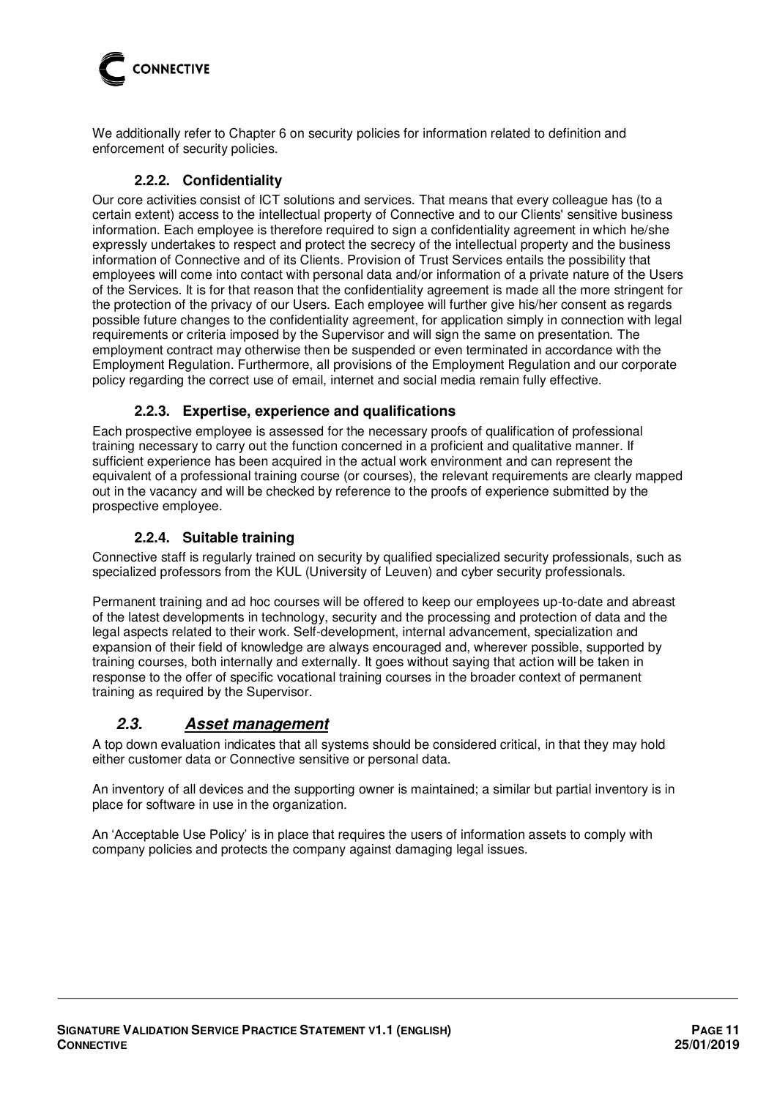

<span id="page-10-0"></span>We additionally refer to Chapter 6 on security policies for information related to definition and enforcement of security policies.

#### **2.2.2. Confidentiality**

Our core activities consist of ICT solutions and services. That means that every colleague has (to a certain extent) access to the intellectual property of Connective and to our Clients' sensitive business information. Each employee is therefore required to sign a confidentiality agreement in which he/she expressly undertakes to respect and protect the secrecy of the intellectual property and the business information of Connective and of its Clients. Provision of Trust Services entails the possibility that employees will come into contact with personal data and/or information of a private nature of the Users of the Services. It is for that reason that the confidentiality agreement is made all the more stringent for the protection of the privacy of our Users. Each employee will further give his/her consent as regards possible future changes to the confidentiality agreement, for application simply in connection with legal requirements or criteria imposed by the Supervisor and will sign the same on presentation. The employment contract may otherwise then be suspended or even terminated in accordance with the Employment Regulation. Furthermore, all provisions of the Employment Regulation and our corporate policy regarding the correct use of email, internet and social media remain fully effective.

#### **2.2.3. Expertise, experience and qualifications**

<span id="page-10-1"></span>Each prospective employee is assessed for the necessary proofs of qualification of professional training necessary to carry out the function concerned in a proficient and qualitative manner. If sufficient experience has been acquired in the actual work environment and can represent the equivalent of a professional training course (or courses), the relevant requirements are clearly mapped out in the vacancy and will be checked by reference to the proofs of experience submitted by the prospective employee.

#### **2.2.4. Suitable training**

<span id="page-10-2"></span>Connective staff is regularly trained on security by qualified specialized security professionals, such as specialized professors from the KUL (University of Leuven) and cyber security professionals.

Permanent training and ad hoc courses will be offered to keep our employees up-to-date and abreast of the latest developments in technology, security and the processing and protection of data and the legal aspects related to their work. Self-development, internal advancement, specialization and expansion of their field of knowledge are always encouraged and, wherever possible, supported by training courses, both internally and externally. It goes without saying that action will be taken in response to the offer of specific vocational training courses in the broader context of permanent training as required by the Supervisor.

# <span id="page-10-3"></span>**2.3. Asset management**

A top down evaluation indicates that all systems should be considered critical, in that they may hold either customer data or Connective sensitive or personal data.

An inventory of all devices and the supporting owner is maintained; a similar but partial inventory is in place for software in use in the organization.

An 'Acceptable Use Policy' is in place that requires the users of information assets to comply with company policies and protects the company against damaging legal issues.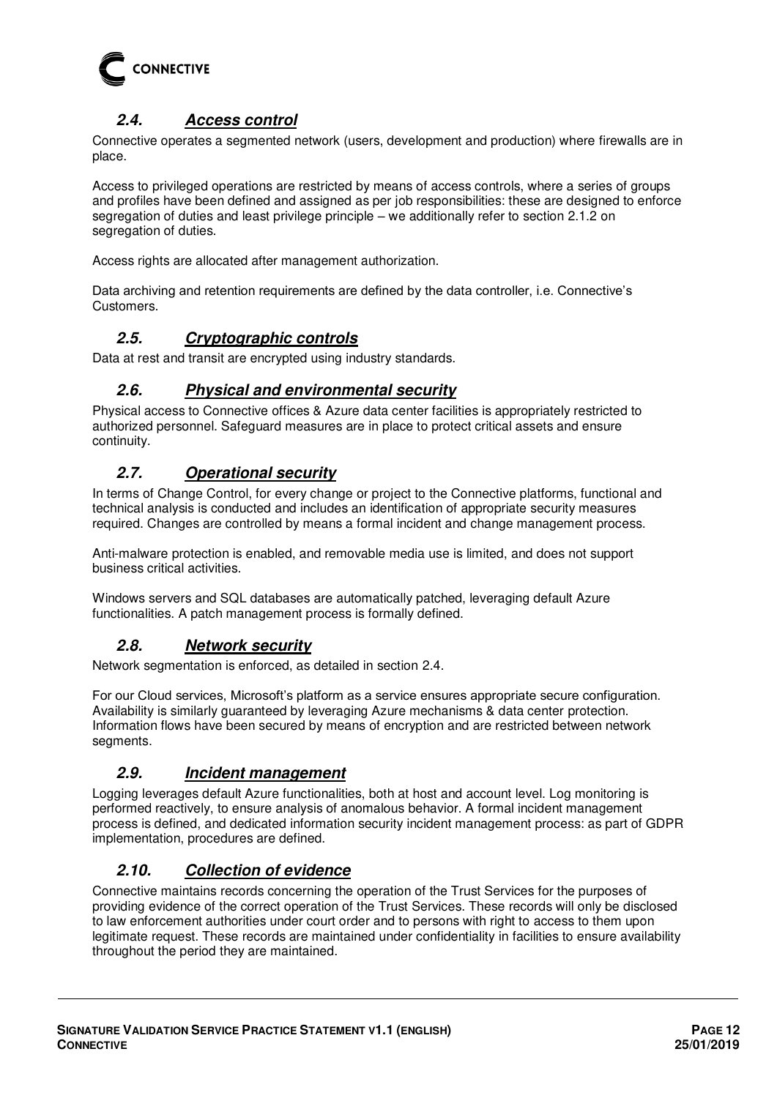

# **2.4. Access control**

<span id="page-11-0"></span>Connective operates a segmented network (users, development and production) where firewalls are in place.

Access to privileged operations are restricted by means of access controls, where a series of groups and profiles have been defined and assigned as per job responsibilities: these are designed to enforce segregation of duties and least privilege principle – we additionally refer to section [2.1.2](#page-9-0) on segregation of duties.

Access rights are allocated after management authorization.

<span id="page-11-1"></span>Data archiving and retention requirements are defined by the data controller, i.e. Connective's Customers.

# **2.5. Cryptographic controls**

<span id="page-11-2"></span>Data at rest and transit are encrypted using industry standards.

# **2.6. Physical and environmental security**

Physical access to Connective offices & Azure data center facilities is appropriately restricted to authorized personnel. Safeguard measures are in place to protect critical assets and ensure continuity.

# <span id="page-11-3"></span>**2.7. Operational security**

In terms of Change Control, for every change or project to the Connective platforms, functional and technical analysis is conducted and includes an identification of appropriate security measures required. Changes are controlled by means a formal incident and change management process.

Anti-malware protection is enabled, and removable media use is limited, and does not support business critical activities.

<span id="page-11-4"></span>Windows servers and SQL databases are automatically patched, leveraging default Azure functionalities. A patch management process is formally defined.

# **2.8. Network security**

Network segmentation is enforced, as detailed in section [2.4.](#page-11-0)

For our Cloud services, Microsoft's platform as a service ensures appropriate secure configuration. Availability is similarly guaranteed by leveraging Azure mechanisms & data center protection. Information flows have been secured by means of encryption and are restricted between network segments.

# <span id="page-11-5"></span>**2.9. Incident management**

Logging leverages default Azure functionalities, both at host and account level. Log monitoring is performed reactively, to ensure analysis of anomalous behavior. A formal incident management process is defined, and dedicated information security incident management process: as part of GDPR implementation, procedures are defined.

# <span id="page-11-6"></span>**2.10. Collection of evidence**

Connective maintains records concerning the operation of the Trust Services for the purposes of providing evidence of the correct operation of the Trust Services. These records will only be disclosed to law enforcement authorities under court order and to persons with right to access to them upon legitimate request. These records are maintained under confidentiality in facilities to ensure availability throughout the period they are maintained.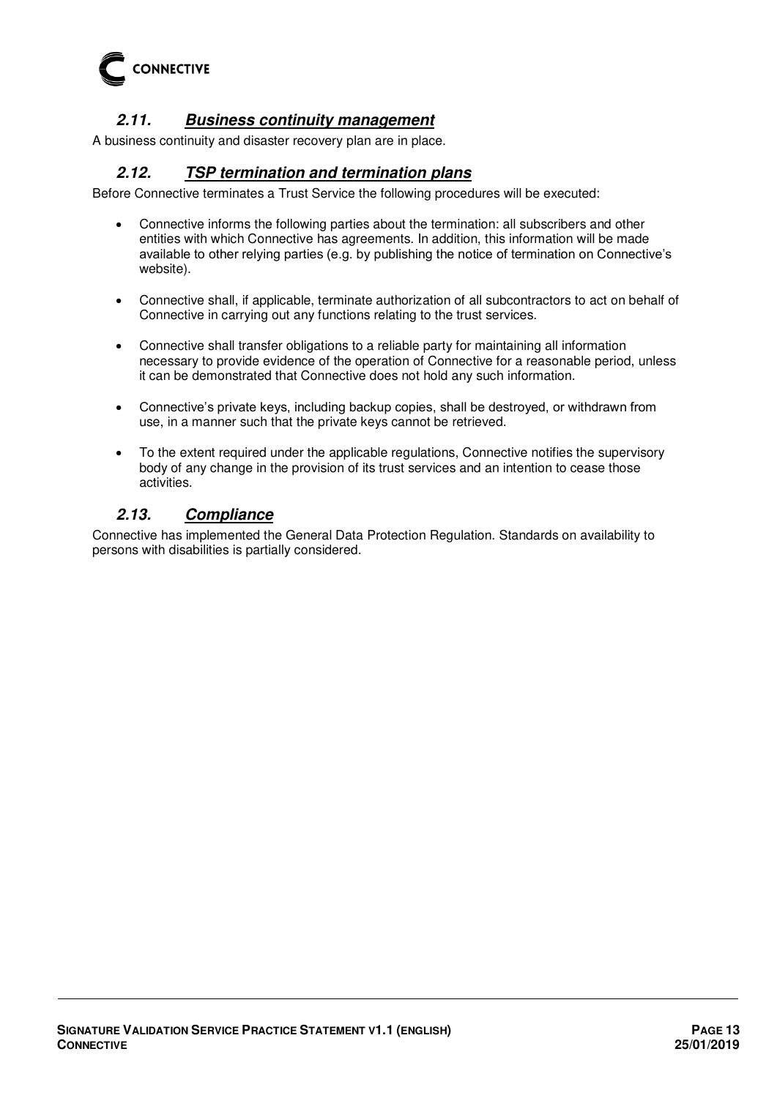

# **2.11. Business continuity management**

<span id="page-12-1"></span><span id="page-12-0"></span>A business continuity and disaster recovery plan are in place.

## **2.12. TSP termination and termination plans**

Before Connective terminates a Trust Service the following procedures will be executed:

- Connective informs the following parties about the termination: all subscribers and other entities with which Connective has agreements. In addition, this information will be made available to other relying parties (e.g. by publishing the notice of termination on Connective's website).
- Connective shall, if applicable, terminate authorization of all subcontractors to act on behalf of Connective in carrying out any functions relating to the trust services.
- Connective shall transfer obligations to a reliable party for maintaining all information necessary to provide evidence of the operation of Connective for a reasonable period, unless it can be demonstrated that Connective does not hold any such information.
- Connective's private keys, including backup copies, shall be destroyed, or withdrawn from use, in a manner such that the private keys cannot be retrieved.
- To the extent required under the applicable regulations, Connective notifies the supervisory body of any change in the provision of its trust services and an intention to cease those activities.

# <span id="page-12-2"></span>**2.13. Compliance**

Connective has implemented the General Data Protection Regulation. Standards on availability to persons with disabilities is partially considered.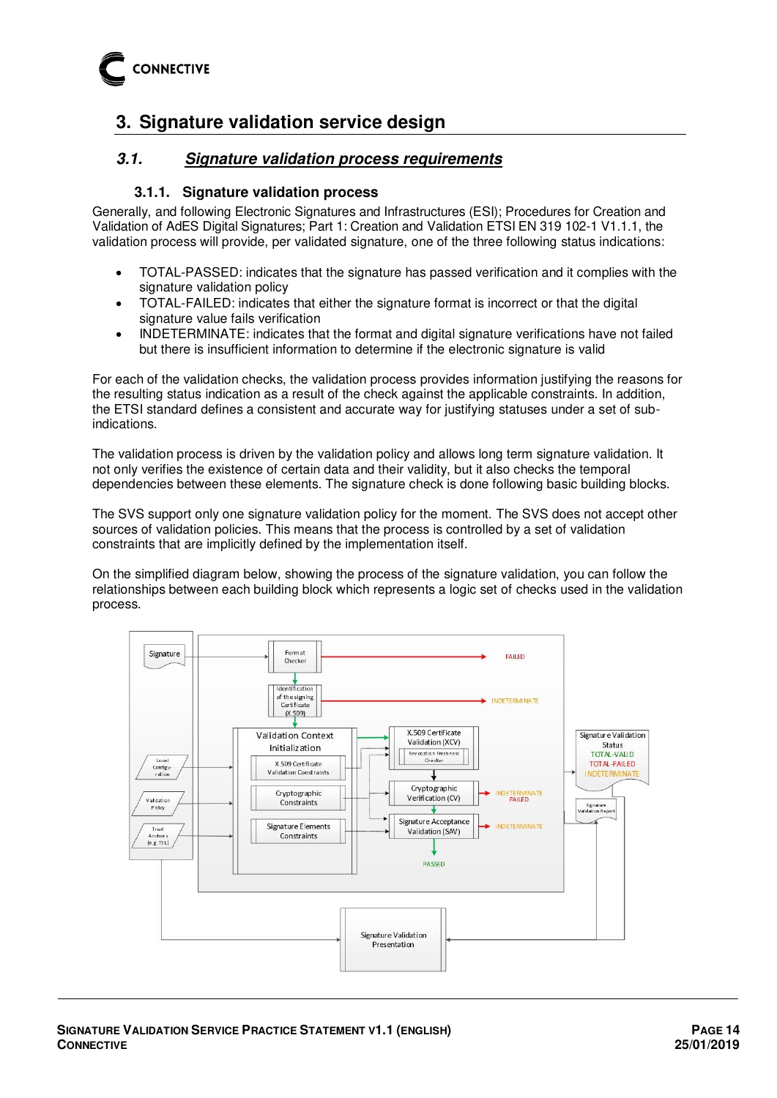

# <span id="page-13-0"></span>**3. Signature validation service design**

## <span id="page-13-1"></span>**3.1. Signature validation process requirements**

#### **3.1.1. Signature validation process**

<span id="page-13-2"></span>Generally, and following Electronic Signatures and Infrastructures (ESI); Procedures for Creation and Validation of AdES Digital Signatures; Part 1: Creation and Validation ETSI EN 319 102-1 V1.1.1, the validation process will provide, per validated signature, one of the three following status indications:

- TOTAL-PASSED: indicates that the signature has passed verification and it complies with the signature validation policy
- TOTAL-FAILED: indicates that either the signature format is incorrect or that the digital signature value fails verification
- INDETERMINATE: indicates that the format and digital signature verifications have not failed but there is insufficient information to determine if the electronic signature is valid

For each of the validation checks, the validation process provides information justifying the reasons for the resulting status indication as a result of the check against the applicable constraints. In addition, the ETSI standard defines a consistent and accurate way for justifying statuses under a set of subindications.

The validation process is driven by the validation policy and allows long term signature validation. It not only verifies the existence of certain data and their validity, but it also checks the temporal dependencies between these elements. The signature check is done following basic building blocks.

The SVS support only one signature validation policy for the moment. The SVS does not accept other sources of validation policies. This means that the process is controlled by a set of validation constraints that are implicitly defined by the implementation itself.

On the simplified diagram below, showing the process of the signature validation, you can follow the relationships between each building block which represents a logic set of checks used in the validation process.

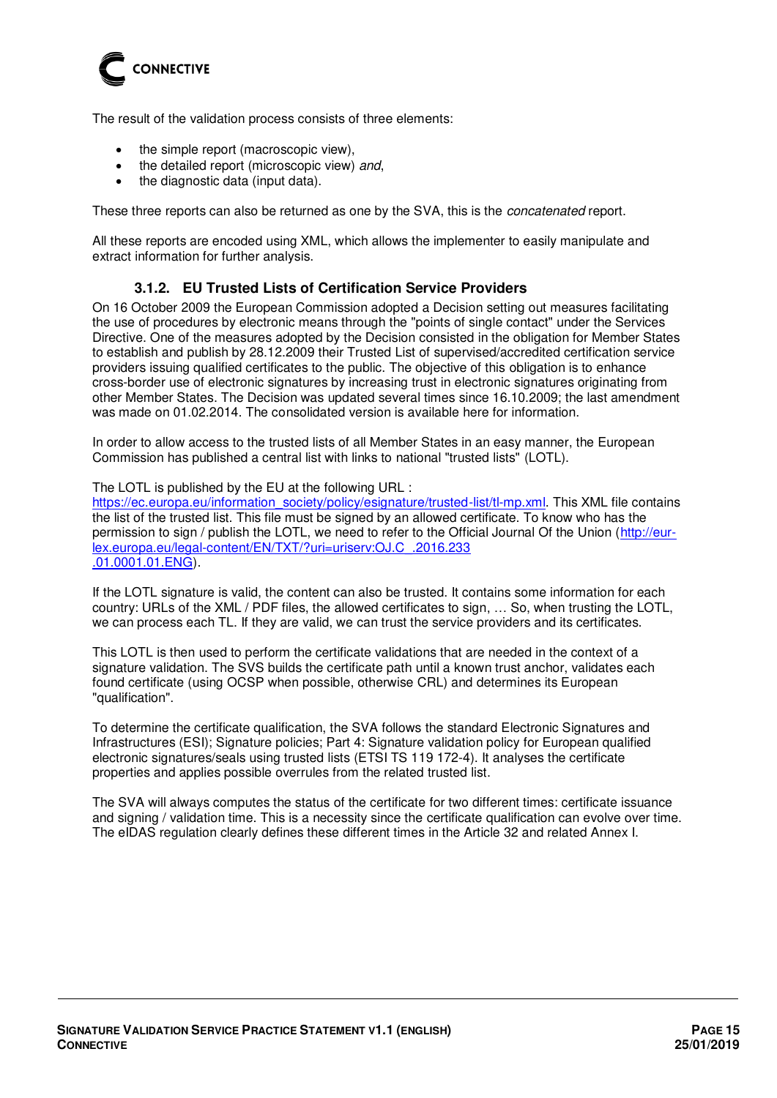

The result of the validation process consists of three elements:

- the simple report (macroscopic view),
- the detailed report (microscopic view) and,
- the diagnostic data (input data).

These three reports can also be returned as one by the SVA, this is the *concatenated* report.

<span id="page-14-0"></span>All these reports are encoded using XML, which allows the implementer to easily manipulate and extract information for further analysis.

#### **3.1.2. EU Trusted Lists of Certification Service Providers**

On 16 October 2009 the European Commission adopted a Decision setting out measures facilitating the use of procedures by electronic means through the "points of single contact" under the Services Directive. One of the measures adopted by the Decision consisted in the obligation for Member States to establish and publish by 28.12.2009 their Trusted List of supervised/accredited certification service providers issuing qualified certificates to the public. The objective of this obligation is to enhance cross-border use of electronic signatures by increasing trust in electronic signatures originating from other Member States. The Decision was updated several times since 16.10.2009; the last amendment was made on 01.02.2014. The consolidated version is available here for information.

In order to allow access to the trusted lists of all Member States in an easy manner, the European Commission has published a central list with links to national "trusted lists" (LOTL).

The LOTL is published by the EU at the following URL :

[https://ec.europa.eu/information\\_society/policy/esignature/trusted-list/tl-mp.xml.](https://ec.europa.eu/information_society/policy/esignature/trusted-list/tl-mp.xml) This XML file contains the list of the trusted list. This file must be signed by an allowed certificate. To know who has the permission to sign / publish the LOTL, we need to refer to the Official Journal Of the Union [\(http://eur](http://eur-lex.europa.eu/legal-content/EN/TXT/?uri=uriserv:OJ.C_.2016.233.01.0001.01.ENG)[lex.europa.eu/legal-content/EN/TXT/?uri=uriserv:OJ.C\\_.2016.233](http://eur-lex.europa.eu/legal-content/EN/TXT/?uri=uriserv:OJ.C_.2016.233.01.0001.01.ENG)  [.01.0001.01.ENG\)](http://eur-lex.europa.eu/legal-content/EN/TXT/?uri=uriserv:OJ.C_.2016.233.01.0001.01.ENG).

If the LOTL signature is valid, the content can also be trusted. It contains some information for each country: URLs of the XML / PDF files, the allowed certificates to sign, … So, when trusting the LOTL, we can process each TL. If they are valid, we can trust the service providers and its certificates.

This LOTL is then used to perform the certificate validations that are needed in the context of a signature validation. The SVS builds the certificate path until a known trust anchor, validates each found certificate (using OCSP when possible, otherwise CRL) and determines its European "qualification".

To determine the certificate qualification, the SVA follows the standard Electronic Signatures and Infrastructures (ESI); Signature policies; Part 4: Signature validation policy for European qualified electronic signatures/seals using trusted lists (ETSI TS 119 172-4). It analyses the certificate properties and applies possible overrules from the related trusted list.

The SVA will always computes the status of the certificate for two different times: certificate issuance and signing / validation time. This is a necessity since the certificate qualification can evolve over time. The eIDAS regulation clearly defines these different times in the Article 32 and related Annex I.